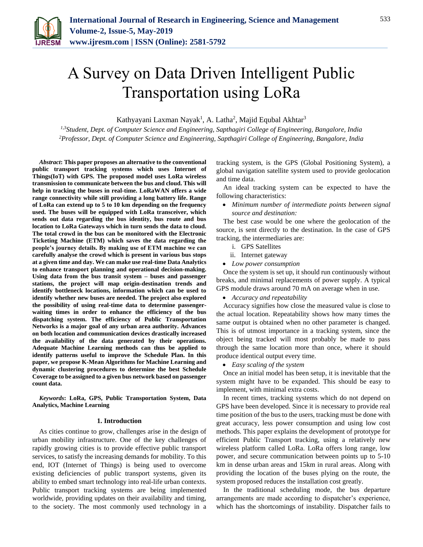

# A Survey on Data Driven Intelligent Public Transportation using LoRa

Kathyayani Laxman Nayak<sup>1</sup>, A. Latha<sup>2</sup>, Majid Equbal Akhtar<sup>3</sup>

*1,3Student, Dept. of Computer Science and Engineering, Sapthagiri College of Engineering, Bangalore, India 2Professor, Dept. of Computer Science and Engineering, Sapthagiri College of Engineering, Bangalore, India*

*Abstract***: This paper proposes an alternative to the conventional public transport tracking systems which uses Internet of Things(IoT) with GPS. The proposed model uses LoRa wireless transmission to communicate between the bus and cloud. This will help in tracking the buses in real-time. LoRaWAN offers a wide range connectivity while still providing a long battery life. Range of LoRa can extend up to 5 to 10 km depending on the frequency used. The buses will be equipped with LoRa transceiver, which sends out data regarding the bus identity, bus route and bus location to LoRa Gateways which in turn sends the data to cloud. The total crowd in the bus can be monitored with the Electronic Ticketing Machine (ETM) which saves the data regarding the people's journey details. By making use of ETM machine we can carefully analyse the crowd which is present in various bus stops at a given time and day. We can make use real-time Data Analytics to enhance transport planning and operational decision-making. Using data from the bus transit system – buses and passenger stations, the project will map origin-destination trends and identify bottleneck locations, information which can be used to identify whether new buses are needed. The project also explored the possibility of using real-time data to determine passengerwaiting times in order to enhance the efficiency of the bus dispatching system. The efficiency of Public Transportation Networks is a major goal of any urban area authority. Advances on both location and communication devices drastically increased the availability of the data generated by their operations. Adequate Machine Learning methods can thus be applied to identify patterns useful to improve the Schedule Plan. In this paper, we propose K-Mean Algorithms for Machine Learning and dynamic clustering procedures to determine the best Schedule Coverage to be assigned to a given bus network based on passenger count data.**

*Keywords***: LoRa, GPS, Public Transportation System, Data Analytics, Machine Learning**

#### **1. Introduction**

As cities continue to grow, challenges arise in the design of urban mobility infrastructure. One of the key challenges of rapidly growing cities is to provide effective public transport services, to satisfy the increasing demands for mobility. To this end, IOT (Internet of Things) is being used to overcome existing deficiencies of public transport systems, given its ability to embed smart technology into real-life urban contexts. Public transport tracking systems are being implemented worldwide, providing updates on their availability and timing, to the society. The most commonly used technology in a tracking system, is the GPS (Global Positioning System), a global navigation satellite system used to provide geolocation and time data.

An ideal tracking system can be expected to have the following characteristics:

 *Minimum number of intermediate points between signal source and destination:* 

The best case would be one where the geolocation of the source, is sent directly to the destination. In the case of GPS tracking, the intermediaries are:

- i. GPS Satellites
- ii. Internet gateway
- *Low power consumption*

Once the system is set up, it should run continuously without breaks, and minimal replacements of power supply. A typical GPS module draws around 70 mA on average when in use.

*Accuracy and repeatability*

Accuracy signifies how close the measured value is close to the actual location. Repeatability shows how many times the same output is obtained when no other parameter is changed. This is of utmost importance in a tracking system, since the object being tracked will most probably be made to pass through the same location more than once, where it should produce identical output every time.

*Easy scaling of the system*

Once an initial model has been setup, it is inevitable that the system might have to be expanded. This should be easy to implement, with minimal extra costs.

In recent times, tracking systems which do not depend on GPS have been developed. Since it is necessary to provide real time position of the bus to the users, tracking must be done with great accuracy, less power consumption and using low cost methods. This paper explains the development of prototype for efficient Public Transport tracking, using a relatively new wireless platform called LoRa. LoRa offers long range, low power, and secure communication between points up to 5-10 km in dense urban areas and 15km in rural areas. Along with providing the location of the buses plying on the route, the system proposed reduces the installation cost greatly.

In the traditional scheduling mode, the bus departure arrangements are made according to dispatcher's experience, which has the shortcomings of instability. Dispatcher fails to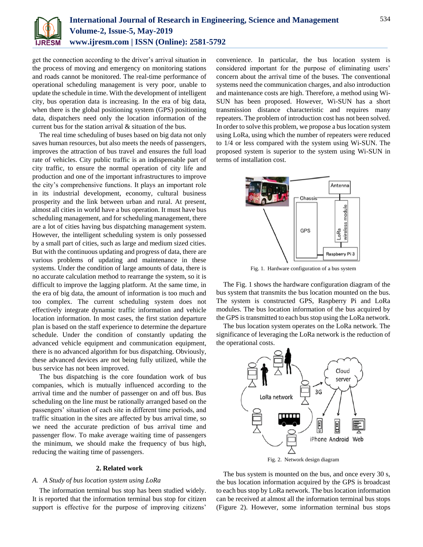

get the connection according to the driver's arrival situation in the process of moving and emergency on monitoring stations and roads cannot be monitored. The real-time performance of operational scheduling management is very poor, unable to update the schedule in time. With the development of intelligent city, bus operation data is increasing. In the era of big data, when there is the global positioning system (GPS) positioning data, dispatchers need only the location information of the current bus for the station arrival & situation of the bus.

The real time scheduling of buses based on big data not only saves human resources, but also meets the needs of passengers, improves the attraction of bus travel and ensures the full load rate of vehicles. City public traffic is an indispensable part of city traffic, to ensure the normal operation of city life and production and one of the important infrastructures to improve the city's comprehensive functions. It plays an important role in its industrial development, economy, cultural business prosperity and the link between urban and rural. At present, almost all cities in world have a bus operation. It must have bus scheduling management, and for scheduling management, there are a lot of cities having bus dispatching management system. However, the intelligent scheduling system is only possessed by a small part of cities, such as large and medium sized cities. But with the continuous updating and progress of data, there are various problems of updating and maintenance in these systems. Under the condition of large amounts of data, there is no accurate calculation method to rearrange the system, so it is difficult to improve the lagging platform. At the same time, in the era of big data, the amount of information is too much and too complex. The current scheduling system does not effectively integrate dynamic traffic information and vehicle location information. In most cases, the first station departure plan is based on the staff experience to determine the departure schedule. Under the condition of constantly updating the advanced vehicle equipment and communication equipment, there is no advanced algorithm for bus dispatching. Obviously, these advanced devices are not being fully utilized, while the bus service has not been improved.

The bus dispatching is the core foundation work of bus companies, which is mutually influenced according to the arrival time and the number of passenger on and off bus. Bus scheduling on the line must be rationally arranged based on the passengers' situation of each site in different time periods, and traffic situation in the sites are affected by bus arrival time, so we need the accurate prediction of bus arrival time and passenger flow. To make average waiting time of passengers the minimum, we should make the frequency of bus high, reducing the waiting time of passengers.

#### **2. Related work**

#### *A. A Study of bus location system using LoRa*

The information terminal bus stop has been studied widely. It is reported that the information terminal bus stop for citizen support is effective for the purpose of improving citizens'

convenience. In particular, the bus location system is considered important for the purpose of eliminating users' concern about the arrival time of the buses. The conventional systems need the communication charges, and also introduction and maintenance costs are high. Therefore, a method using Wi-SUN has been proposed. However, Wi-SUN has a short transmission distance characteristic and requires many repeaters. The problem of introduction cost has not been solved. In order to solve this problem, we propose a bus location system using LoRa, using which the number of repeaters were reduced to 1/4 or less compared with the system using Wi-SUN. The proposed system is superior to the system using Wi-SUN in terms of installation cost.



Fig. 1. Hardware configuration of a bus system

The Fig. 1 shows the hardware configuration diagram of the bus system that transmits the bus location mounted on the bus. The system is constructed GPS, Raspberry Pi and LoRa modules. The bus location information of the bus acquired by the GPS is transmitted to each bus stop using the LoRa network.

The bus location system operates on the LoRa network. The significance of leveraging the LoRa network is the reduction of the operational costs.



The bus system is mounted on the bus, and once every 30 s, the bus location information acquired by the GPS is broadcast to each bus stop by LoRa network. The bus location information can be received at almost all the information terminal bus stops (Figure 2). However, some information terminal bus stops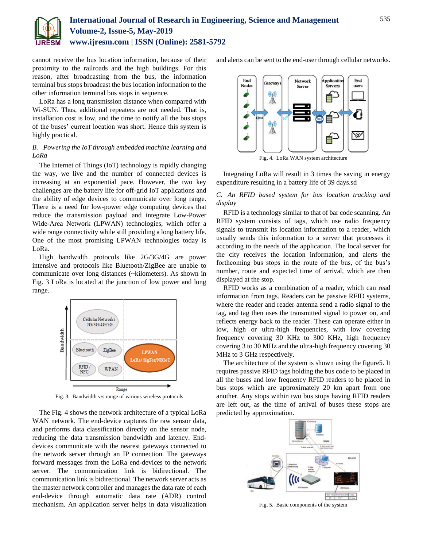

cannot receive the bus location information, because of their proximity to the railroads and the high buildings. For this reason, after broadcasting from the bus, the information terminal bus stops broadcast the bus location information to the other information terminal bus stops in sequence.

LoRa has a long transmission distance when compared with Wi-SUN. Thus, additional repeaters are not needed. That is, installation cost is low, and the time to notify all the bus stops of the buses' current location was short. Hence this system is highly practical.

# *B. Powering the IoT through embedded machine learning and LoRa*

The Internet of Things (IoT) technology is rapidly changing the way, we live and the number of connected devices is increasing at an exponential pace. However, the two key challenges are the battery life for off-grid IoT applications and the ability of edge devices to communicate over long range. There is a need for low-power edge computing devices that reduce the transmission payload and integrate Low-Power Wide-Area Network (LPWAN) technologies, which offer a wide range connectivity while still providing a long battery life. One of the most promising LPWAN technologies today is LoRa.

High bandwidth protocols like 2G/3G/4G are power intensive and protocols like Bluetooth/ZigBee are unable to communicate over long distances (~kilometers). As shown in Fig. 3 LoRa is located at the junction of low power and long range.



Fig. 3. Bandwidth v/s range of various wireless protocols

The Fig. 4 shows the network architecture of a typical LoRa WAN network. The end-device captures the raw sensor data, and performs data classification directly on the sensor node, reducing the data transmission bandwidth and latency. Enddevices communicate with the nearest gateways connected to the network server through an IP connection. The gateways forward messages from the LoRa end-devices to the network server. The communication link is bidirectional. The communication link is bidirectional. The network server acts as the master network controller and manages the data rate of each end-device through automatic data rate (ADR) control mechanism. An application server helps in data visualization

and alerts can be sent to the end-user through cellular networks.



Fig. 4. LoRa WAN system architecture

Integrating LoRa will result in 3 times the saving in energy expenditure resulting in a battery life of 39 days.sd

## *C. An RFID based system for bus location tracking and display*

RFID is a technology similar to that of bar code scanning. An RFID system consists of tags, which use radio frequency signals to transmit its location information to a reader, which usually sends this information to a server that processes it according to the needs of the application. The local server for the city receives the location information, and alerts the forthcoming bus stops in the route of the bus, of the bus's number, route and expected time of arrival, which are then displayed at the stop.

RFID works as a combination of a reader, which can read information from tags. Readers can be passive RFID systems, where the reader and reader antenna send a radio signal to the tag, and tag then uses the transmitted signal to power on, and reflects energy back to the reader. These can operate either in low, high or ultra-high frequencies, with low covering frequency covering 30 KHz to 300 KHz, high frequency covering 3 to 30 MHz and the ultra-high frequency covering 30 MHz to 3 GHz respectively.

The architecture of the system is shown using the figure5. It requires passive RFID tags holding the bus code to be placed in all the buses and low frequency RFID readers to be placed in bus stops which are approximately 20 km apart from one another. Any stops within two bus stops having RFID readers are left out, as the time of arrival of buses these stops are predicted by approximation.



Fig. 5. Basic components of the system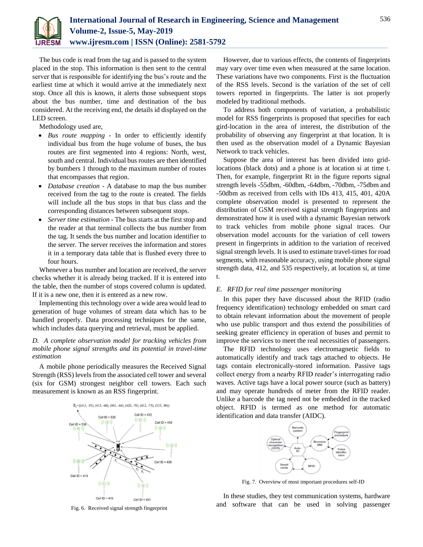

The bus code is read from the tag and is passed to the system placed in the stop. This information is then sent to the central server that is responsible for identifying the bus's route and the earliest time at which it would arrive at the immediately next stop. Once all this is known, it alerts those subsequent stops about the bus number, time and destination of the bus considered. At the receiving end, the details id displayed on the LED screen.

Methodology used are,

- *Bus route mapping* In order to efficiently identify individual bus from the huge volume of buses, the bus routes are first segmented into 4 regions: North, west, south and central. Individual bus routes are then identified by bumbers 1 through to the maximum number of routes that encompasses that region.
- *Database creation* A database to map the bus number received from the tag to the route is created. The fields will include all the bus stops in that bus class and the corresponding distances between subsequent stops.
- *Server time estimation* The bus starts at the first stop and the reader at that terminal collects the bus number from the tag. It sends the bus number and location identifier to the server. The server receives the information and stores it in a temporary data table that is flushed every three to four hours.

Whenever a bus number and location are received, the server checks whether it is already being tracked. If it is entered into the table, then the number of stops covered column is updated. If it is a new one, then it is entered as a new row.

Implementing this technology over a wide area would lead to generation of huge volumes of stream data which has to be handled properly. Data processing techniques for the same, which includes data querying and retrieval, must be applied.

## *D. A complete observation model for tracking vehicles from mobile phone signal strengths and its potential in travel-time estimation*

A mobile phone periodically measures the Received Signal Strength (RSS) levels from the associated cell tower and several (six for GSM) strongest neighbor cell towers. Each such measurement is known as an RSS fingerprint.



Fig. 6. Received signal strength fingerprint

However, due to various effects, the contents of fingerprints may vary over time even when measured at the same location. These variations have two components. First is the fluctuation of the RSS levels. Second is the variation of the set of cell towers reported in fingerprints. The latter is not properly modeled by traditional methods.

To address both components of variation, a probabilistic model for RSS fingerprints is proposed that specifies for each gird-location in the area of interest, the distribution of the probability of observing any fingerprint at that location. It is then used as the observation model of a Dynamic Bayesian Network to track vehicles.

Suppose the area of interest has been divided into gridlocations (black dots) and a phone is at location si at time t. Then, for example, fingerprint Rt in the figure reports signal strength levels -55dbm, -60dbm, -64dbm, -70dbm, -75dbm and -50dbm as received from cells with IDs 413, 415, 401, 420A complete observation model is presented to represent the distribution of GSM received signal strength fingerprints and demonstrated how it is used with a dynamic Bayesian network to track vehicles from mobile phone signal traces. Our observation model accounts for the variation of cell towers present in fingerprints in addition to the variation of received signal strength levels. It is used to estimate travel-times for road segments, with reasonable accuracy, using mobile phone signal strength data, 412, and 535 respectively, at location si, at time t.

#### *E. RFID for real time passenger monitoring*

In this paper they have discussed about the RFID (radio frequency identification) technology embedded on smart card to obtain relevant information about the movement of people who use public transport and thus extend the possibilities of seeking greater efficiency in operation of buses and permit to improve the services to meet the real necessities of passengers.

The RFID technology uses electromagnetic fields to automatically identify and track tags attached to objects. He tags contain electronically-stored information. Passive tags collect energy from a nearby RFID reader's interrogating radio waves. Active tags have a local power source (such as battery) and may operate hundreds of meter from the RFID reader. Unlike a barcode the tag need not be embedded in the tracked object. RFID is termed as one method for automatic identification and data transfer (AIDC).



Fig. 7. Overview of most important procedures self-ID

In these studies, they test communication systems, hardware and software that can be used in solving passenger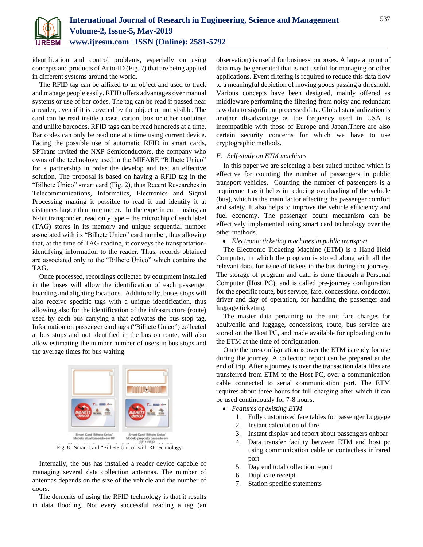

identification and control problems, especially on using concepts and products of Auto-ID (Fig. 7) that are being applied in different systems around the world.

The RFID tag can be affixed to an object and used to track and manage people easily. RFID offers advantages over manual systems or use of bar codes. The tag can be read if passed near a reader, even if it is covered by the object or not visible. The card can be read inside a case, carton, box or other container and unlike barcodes, RFID tags can be read hundreds at a time. Bar codes can only be read one at a time using current device. Facing the possible use of automatic RFID in smart cards, SPTrans invited the NXP Semiconductors, the company who owns of the technology used in the MIFARE "Bilhete Único" for a partnership in order the develop and test an effective solution. The proposal is based on having a RFID tag in the "Bilhete Único" smart card (Fig. 2), thus Recent Researches in Telecommunications, Informatics, Electronics and Signal Processing making it possible to read it and identify it at distances larger than one meter. In the experiment – using an N-bit transponder, read only type – the microchip of each label (TAG) stores in its memory and unique sequential number associated with its "Bilhete Único" card number, thus allowing that, at the time of TAG reading, it conveys the transportationidentifying information to the reader. Thus, records obtained are associated only to the "Bilhete Único" which contains the TAG.

Once processed, recordings collected by equipment installed in the buses will allow the identification of each passenger boarding and alighting locations. Additionally, buses stops will also receive specific tags with a unique identification, thus allowing also for the identification of the infrastructure (route) used by each bus carrying a that activates the bus stop tag. Information on passenger card tags ("Bilhete Único") collected at bus stops and not identified in the bus on route, will also allow estimating the number number of users in bus stops and the average times for bus waiting.



Fig. 8. Smart Card "Bilhete Único" with RF technology

Internally, the bus has installed a reader device capable of managing several data collection antennas. The number of antennas depends on the size of the vehicle and the number of doors.

The demerits of using the RFID technology is that it results in data flooding. Not every successful reading a tag (an

observation) is useful for business purposes. A large amount of data may be generated that is not useful for managing or other applications. Event filtering is required to reduce this data flow to a meaningful depiction of moving goods passing a threshold. Various concepts have been designed, mainly offered as middleware performing the filtering from noisy and redundant raw data to significant processed data. Global standardization is another disadvantage as the frequency used in USA is incompatible with those of Europe and Japan.There are also certain security concerns for which we have to use cryptographic methods.

#### *F. Self-study on ETM machines*

In this paper we are selecting a best suited method which is effective for counting the number of passengers in public transport vehicles. Counting the number of passengers is a requirement as it helps in reducing overloading of the vehicle (bus), which is the main factor affecting the passenger comfort and safety. It also helps to improve the vehicle efficiency and fuel economy. The passenger count mechanism can be effectively implemented using smart card technology over the other methods.

## *Electronic ticketing machines in public transport*

The Electronic Ticketing Machine (ETM) is a Hand Held Computer, in which the program is stored along with all the relevant data, for issue of tickets in the bus during the journey. The storage of program and data is done through a Personal Computer (Host PC), and is called pre-journey configuration for the specific route, bus service, fare, concessions, conductor, driver and day of operation, for handling the passenger and luggage ticketing.

The master data pertaining to the unit fare charges for adult/child and luggage, concessions, route, bus service are stored on the Host PC, and made available for uploading on to the ETM at the time of configuration.

Once the pre-configuration is over the ETM is ready for use during the journey. A collection report can be prepared at the end of trip. After a journey is over the transaction data files are transferred from ETM to the Host PC, over a communication cable connected to serial communication port. The ETM requires about three hours for full charging after which it can be used continuously for 7-8 hours.

- *Features of existing ETM*
	- 1. Fully customized fare tables for passenger Luggage
	- 2. Instant calculation of fare
	- 3. Instant display and report about passengers onboar
	- 4. Data transfer facility between ETM and host pc using communication cable or contactless infrared port
	- 5. Day end total collection report
	- 6. Duplicate receipt
	- 7. Station specific statements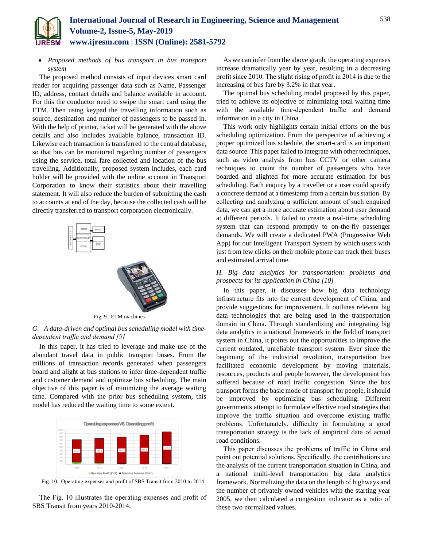

 *Proposed methods of bus transport in bus transport system*

The proposed method consists of input devices smart card reader for acquiring passenger data such as Name, Passenger ID, address, contact details and balance available in account. For this the conductor need to swipe the smart card using the ETM. Then using keypad the travelling information such as source, destination and number of passengers to be passed in. With the help of printer, ticket will be generated with the above details and also includes available balance, transaction ID. Likewise each transaction is transferred to the central database, so that bus can be monitored regarding number of passengers using the service, total fare collected and location of the bus travelling. Additionally, proposed system includes, each card holder will be provided with the online account in Transport Corporation to know their statistics about their travelling statement. It will also reduce the burden of submitting the cash to accounts at end of the day, because the collected cash will be directly transferred to transport corporation electronically.





Fig. 9. ETM machines

# *G. A data-driven and optimal bus scheduling model with timedependent traffic and demand [9]*

In this paper, it has tried to leverage and make use of the abundant travel data in public transport buses. From the millions of transaction records generated when passengers board and alight at bus stations to infer time-dependent traffic and customer demand and optimize bus scheduling. The main objective of this paper is of minimizing the average waiting time. Compared with the prior bus scheduling system, this model has reduced the waiting time to some extent.



Fig. 10. Operating expenses and profit of SBS Transit from 2010 to 2014

The Fig. 10 illustrates the operating expenses and profit of SBS Transit from years 2010-2014.

As we can infer from the above graph, the operating expenses increase dramatically year by year, resulting in a decreasing profit since 2010. The slight rising of profit in 2014 is due to the increasing of bus fare by 3.2% in that year.

The optimal bus scheduling model proposed by this paper, tried to achieve its objective of minimizing total waiting time with the available time-dependent traffic and demand information in a city in China.

This work only highlights certain initial efforts on the bus scheduling optimization. From the perspective of achieving a proper optimized bus schedule, the smart-card is an important data source. This paper failed to integrate with other techniques, such as video analysis from bus CCTV or other camera techniques to count the number of passengers who have boarded and alighted for more accurate estimation for bus scheduling. Each enquiry by a traveller or a user could specify a concrete demand at a timestamp from a certain bus station. By collecting and analyzing a sufficient amount of such enquired data, we can get a more accurate estimation about user demand at different periods. It failed to create a real-time scheduling system that can respond promptly to on-the-fly passenger demands. We will create a dedicated PWA (Progressive Web App) for our Intelligent Transport System by which users with just from few clicks on their mobile phone can track their buses and estimated arrival time.

# *H. Big data analytics for transportation: problems and prospects for its application in China [10]*

In this paper, it discusses how big data technology infrastructure fits into the current development of China, and provide suggestions for improvement. It outlines relevant big data technologies that are being used in the transportation domain in China. Through standardizing and integrating big data analytics in a national framework in the field of transport system in China, it points out the opportunities to improve the current outdated, unreliable transport system. Ever since the beginning of the industrial revolution, transportation has facilitated economic development by moving materials, resources, products and people however, the development has suffered because of road traffic congestion. Since the bus transport forms the basic mode of transport for people, it should be improved by optimizing bus scheduling. Different governments attempt to formulate effective road strategies that improve the traffic situation and overcome existing traffic problems. Unfortunately, difficulty in formulating a good transportation strategy is the lack of empirical data of actual road conditions.

This paper discusses the problems of traffic in China and point out potential solutions. Specifically, the contributions are the analysis of the current transportation situation in China, and a national multi-level transportation big data analytics framework. Normalizing the data on the length of highways and the number of privately owned vehicles with the starting year 2005, we then calculated a congestion indicator as a ratio of these two normalized values.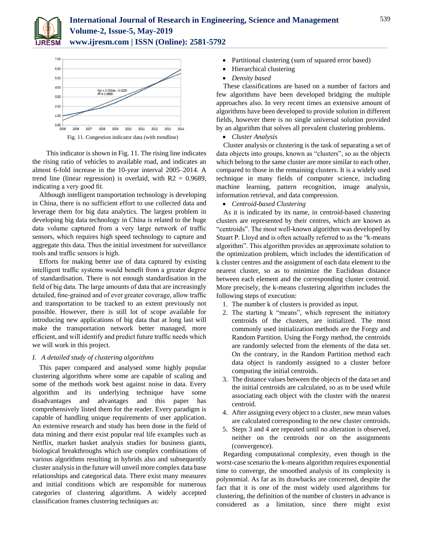



This indicator is shown in Fig. 11. The rising line indicates the rising ratio of vehicles to available road, and indicates an almost 6-fold increase in the 10-year interval 2005–2014. A trend line (linear regression) is overlaid, with  $R2 = 0.9689$ , indicating a very good fit.

Although intelligent transportation technology is developing in China, there is no sufficient effort to use collected data and leverage them for big data analytics. The largest problem in developing big data technology in China is related to the huge data volume captured from a very large network of traffic sensors, which requires high speed technology to capture and aggregate this data. Thus the initial investment for surveillance tools and traffic sensors is high.

Efforts for making better use of data captured by existing intelligent traffic systems would benefit from a greater degree of standardisation. There is not enough standardisation in the field of big data. The large amounts of data that are increasingly detailed, fine-grained and of ever greater coverage, allow traffic and transportation to be tracked to an extent previously not possible. However, there is still lot of scope available for introducing new applications of big data that at long last will make the transportation network better managed, more efficient, and will identify and predict future traffic needs which we will work in this project.

### *I. A detailed study of clustering algorithms*

This paper compared and analysed some highly popular clustering algorithms where some are capable of scaling and some of the methods work best against noise in data. Every algorithm and its underlying technique have some disadvantages and advantages and this paper has comprehensively listed them for the reader. Every paradigm is capable of handling unique requirements of user application. An extensive research and study has been done in the field of data mining and there exist popular real life examples such as Netflix, market basket analysis studies for business giants, biological breakthroughs which use complex combinations of various algorithms resulting in hybrids also and subsequently cluster analysis in the future will unveil more complex data base relationships and categorical data. There exist many measures and initial conditions which are responsible for numerous categories of clustering algorithms. A widely accepted classification frames clustering techniques as:

- Partitional clustering (sum of squared error based)
- Hierarchical clustering
- *Density based*

These classifications are based on a number of factors and few algorithms have been developed bridging the multiple approaches also. In very recent times an extensive amount of algorithms have been developed to provide solution in different fields, however there is no single universal solution provided by an algorithm that solves all prevalent clustering problems.

*Cluster Analysis*

Cluster analysis or clustering is the task of separating a set of data objects into groups, known as "clusters", so as the objects which belong to the same cluster are more similar to each other, compared to those in the remaining clusters. It is a widely used technique in many fields of computer science, including machine learning, pattern recognition, image analysis, information retrieval, and data compression.

*Centroid-based Clustering*

As it is indicated by its name, in centroid-based clustering clusters are represented by their centres, which are known as "centroids". The most well-known algorithm was developed by Stuart P. Lloyd and is often actually referred to as the "k-means algorithm". This algorithm provides an approximate solution to the optimization problem, which includes the identification of k cluster centres and the assignment of each data element to the nearest cluster, so as to minimize the Euclidean distance between each element and the corresponding cluster centroid. More precisely, the k-means clustering algorithm includes the following steps of execution:

- 1. The number k of clusters is provided as input.
- 2. The starting k "means", which represent the initiatory centroids of the clusters, are initialized. The most commonly used initialization methods are the Forgy and Random Partition. Using the Forgy method, the centroids are randomly selected from the elements of the data set. On the contrary, in the Random Partition method each data object is randomly assigned to a cluster before computing the initial centroids.
- 3. The distance values between the objects of the data set and the initial centroids are calculated, so as to be used while associating each object with the cluster with the nearest centroid.
- 4. After assigning every object to a cluster, new mean values are calculated corresponding to the new cluster centroids.
- 5. Steps 3 and 4 are repeated until no alteration is observed, neither on the centroids nor on the assignments (convergence).

Regarding computational complexity, even though in the worst-case scenario the k-means algorithm requires exponential time to converge, the smoothed analysis of its complexity is polynomial. As far as its drawbacks are concerned, despite the fact that it is one of the most widely used algorithms for clustering, the definition of the number of clusters in advance is considered as a limitation, since there might exist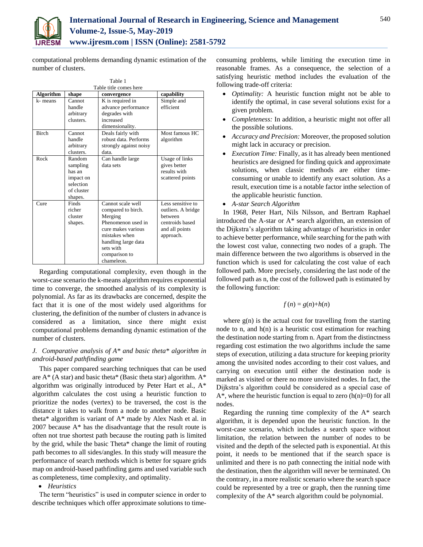

computational problems demanding dynamic estimation of the number of clusters.

| Table 1                |                                                                                 |                                                                                                                                                                                    |                                                                                                      |
|------------------------|---------------------------------------------------------------------------------|------------------------------------------------------------------------------------------------------------------------------------------------------------------------------------|------------------------------------------------------------------------------------------------------|
| Table title comes here |                                                                                 |                                                                                                                                                                                    |                                                                                                      |
| <b>Algorithm</b>       | shape                                                                           | convergence                                                                                                                                                                        | capability                                                                                           |
| k-means                | Cannot<br>handle<br>arbitrary<br>clusters.                                      | K is required in<br>advance performance<br>degrades with<br>increased<br>dimensionality.                                                                                           | Simple and<br>efficient                                                                              |
| <b>Birch</b>           | Cannot<br>handle<br>arbitrary<br>clusters.                                      | Deals fairly with<br>robust data. Performs<br>strongly against noisy<br>data.                                                                                                      | Most famous HC<br>algorithm                                                                          |
| Rock                   | Random<br>sampling<br>has an<br>impact on<br>selection<br>of cluster<br>shapes. | Can handle large<br>data sets                                                                                                                                                      | Usage of links<br>gives better<br>results with<br>scattered points                                   |
| Cure                   | Finds<br>richer<br>cluster<br>shapes.                                           | Cannot scale well<br>compared to birch.<br>Merging<br>Phenomenon used in<br>cure makes various<br>mistakes when<br>handling large data<br>sets with<br>comparison to<br>chameleon. | Less sensitive to<br>outliers. A bridge<br>hetween<br>centroids based<br>and all points<br>approach. |

Regarding computational complexity, even though in the worst-case scenario the k-means algorithm requires exponential time to converge, the smoothed analysis of its complexity is polynomial. As far as its drawbacks are concerned, despite the fact that it is one of the most widely used algorithms for clustering, the definition of the number of clusters in advance is considered as a limitation, since there might exist computational problems demanding dynamic estimation of the number of clusters.

## *J. Comparative analysis of A\* and basic theta\* algorithm in android-based pathfinding game*

This paper compared searching techniques that can be used are  $A^*$  (A star) and basic theta\* (Basic theta star) algorithm.  $A^*$ algorithm was originally introduced by Peter Hart et al., A\* algorithm calculates the cost using a heuristic function to prioritize the nodes (vertex) to be traversed, the cost is the distance it takes to walk from a node to another node. Basic theta\* algorithm is variant of A\* made by Alex Nash et al. in 2007 because A\* has the disadvantage that the result route is often not true shortest path because the routing path is limited by the grid, while the basic Theta\* change the limit of routing path becomes to all sides/angles. In this study will measure the performance of search methods which is better for square grids map on android-based pathfinding gams and used variable such as completeness, time complexity, and optimality.

# *Heuristics*

The term "heuristics" is used in computer science in order to describe techniques which offer approximate solutions to timeconsuming problems, while limiting the execution time in reasonable frames. As a consequence, the selection of a satisfying heuristic method includes the evaluation of the following trade-off criteria:

- *Optimality:* A heuristic function might not be able to identify the optimal, in case several solutions exist for a given problem.
- *Completeness:* In addition, a heuristic might not offer all the possible solutions.
- *Accuracy and Precision:* Moreover, the proposed solution might lack in accuracy or precision.
- *Execution Time:* Finally, as it has already been mentioned heuristics are designed for finding quick and approximate solutions, when classic methods are either timeconsuming or unable to identify any exact solution. As a result, execution time is a notable factor inthe selection of the applicable heuristic function.
- *A-star Search Algorithm*

In 1968, Peter Hart, Nils Nilsson, and Bertram Raphael introduced the A-star or A\* search algorithm, an extension of the Dijkstra's algorithm taking advantage of heuristics in order to achieve better performance, while searching for the path with the lowest cost value, connecting two nodes of a graph. The main difference between the two algorithms is observed in the function which is used for calculating the cost value of each followed path. More precisely, considering the last node of the followed path as n, the cost of the followed path is estimated by the following function:

$$
f(n) = g(n) + h(n)
$$

where  $g(n)$  is the actual cost for travelling from the starting node to n, and  $h(n)$  is a heuristic cost estimation for reaching the destination node starting from n. Apart from the distinctness regarding cost estimation the two algorithms include the same steps of execution, utilizing a data structure for keeping priority among the unvisited nodes according to their cost values, and carrying on execution until either the destination node is marked as visited or there no more unvisited nodes. In fact, the Dijkstra's algorithm could be considered as a special case of  $A^*$ , where the heuristic function is equal to zero  $(h(n)=0)$  for all nodes.

Regarding the running time complexity of the A\* search algorithm, it is depended upon the heuristic function. In the worst-case scenario, which includes a search space without limitation, the relation between the number of nodes to be visited and the depth of the selected path is exponential. At this point, it needs to be mentioned that if the search space is unlimited and there is no path connecting the initial node with the destination, then the algorithm will never be terminated. On the contrary, in a more realistic scenario where the search space could be represented by a tree or graph, then the running time complexity of the A\* search algorithm could be polynomial.